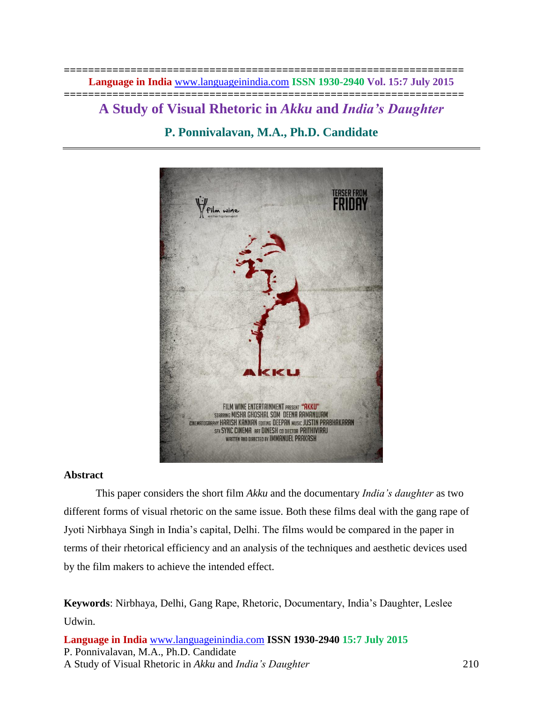**================================================================== Language in India** [www.languageinindia.com](http://www.languageinindia.com/) **ISSN 1930-2940 Vol. 15:7 July 2015**

# **================================================================== A Study of Visual Rhetoric in** *Akku* **and** *India's Daughter* **P. Ponnivalavan, M.A., Ph.D. Candidate**



# **Abstract**

This paper considers the short film *Akku* and the documentary *India's daughter* as two different forms of visual rhetoric on the same issue. Both these films deal with the gang rape of Jyoti Nirbhaya Singh in India's capital, Delhi. The films would be compared in the paper in terms of their rhetorical efficiency and an analysis of the techniques and aesthetic devices used by the film makers to achieve the intended effect.

**Keywords**: Nirbhaya, Delhi, Gang Rape, Rhetoric, Documentary, India's Daughter, Leslee Udwin.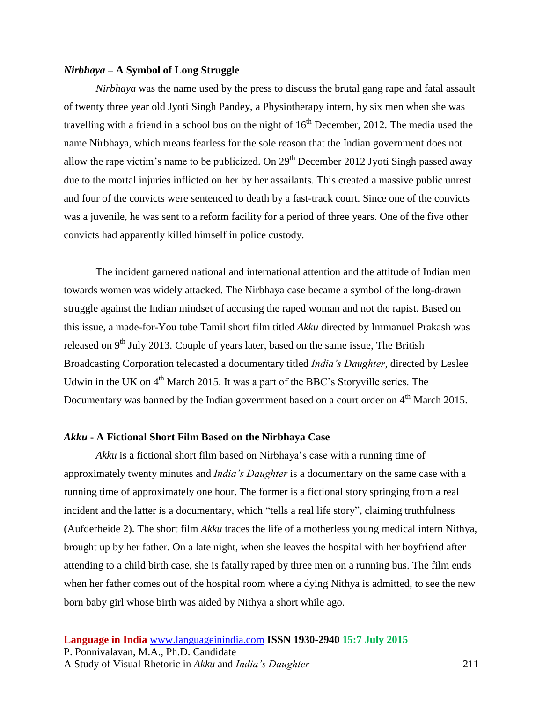# *Nirbhaya –* **A Symbol of Long Struggle**

*Nirbhaya* was the name used by the press to discuss the brutal gang rape and fatal assault of twenty three year old Jyoti Singh Pandey, a Physiotherapy intern, by six men when she was travelling with a friend in a school bus on the night of  $16<sup>th</sup>$  December, 2012. The media used the name Nirbhaya, which means fearless for the sole reason that the Indian government does not allow the rape victim's name to be publicized. On  $29<sup>th</sup>$  December 2012 Jyoti Singh passed away due to the mortal injuries inflicted on her by her assailants. This created a massive public unrest and four of the convicts were sentenced to death by a fast-track court. Since one of the convicts was a juvenile, he was sent to a reform facility for a period of three years. One of the five other convicts had apparently killed himself in police custody.

The incident garnered national and international attention and the attitude of Indian men towards women was widely attacked. The Nirbhaya case became a symbol of the long-drawn struggle against the Indian mindset of accusing the raped woman and not the rapist. Based on this issue, a made-for-You tube Tamil short film titled *Akku* directed by Immanuel Prakash was released on  $9<sup>th</sup>$  July 2013. Couple of years later, based on the same issue, The British Broadcasting Corporation telecasted a documentary titled *India's Daughter*, directed by Leslee Udwin in the UK on  $4<sup>th</sup>$  March 2015. It was a part of the BBC's Storyville series. The Documentary was banned by the Indian government based on a court order on 4<sup>th</sup> March 2015.

## *Akku* **- A Fictional Short Film Based on the Nirbhaya Case**

*Akku* is a fictional short film based on Nirbhaya's case with a running time of approximately twenty minutes and *India's Daughter* is a documentary on the same case with a running time of approximately one hour. The former is a fictional story springing from a real incident and the latter is a documentary, which "tells a real life story", claiming truthfulness (Aufderheide 2). The short film *Akku* traces the life of a motherless young medical intern Nithya, brought up by her father. On a late night, when she leaves the hospital with her boyfriend after attending to a child birth case, she is fatally raped by three men on a running bus. The film ends when her father comes out of the hospital room where a dying Nithya is admitted, to see the new born baby girl whose birth was aided by Nithya a short while ago.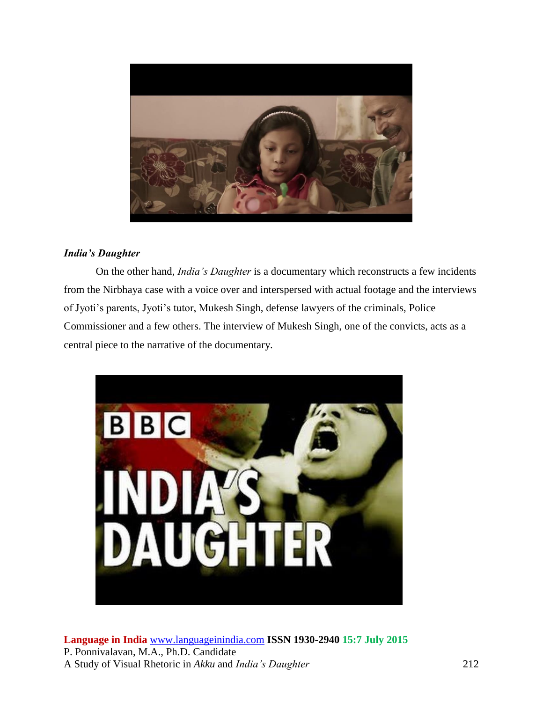

# *India's Daughter*

On the other hand, *India's Daughter* is a documentary which reconstructs a few incidents from the Nirbhaya case with a voice over and interspersed with actual footage and the interviews of Jyoti's parents, Jyoti's tutor, Mukesh Singh, defense lawyers of the criminals, Police Commissioner and a few others. The interview of Mukesh Singh, one of the convicts, acts as a central piece to the narrative of the documentary.

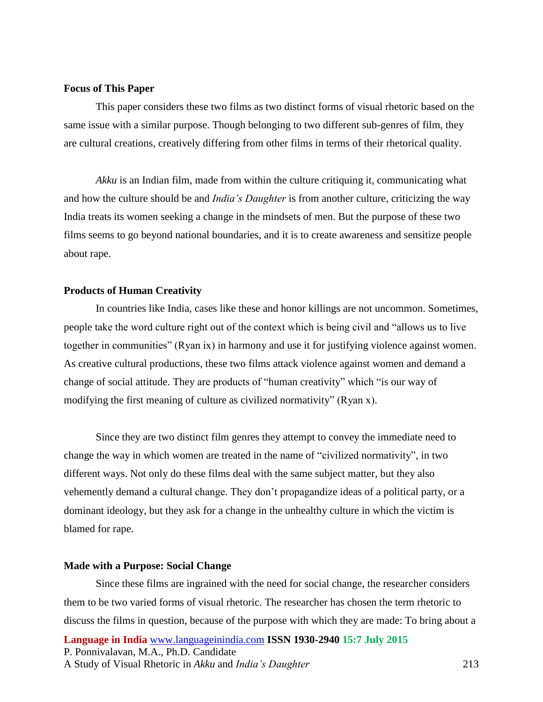# **Focus of This Paper**

This paper considers these two films as two distinct forms of visual rhetoric based on the same issue with a similar purpose. Though belonging to two different sub-genres of film, they are cultural creations, creatively differing from other films in terms of their rhetorical quality.

*Akku* is an Indian film, made from within the culture critiquing it, communicating what and how the culture should be and *India's Daughter* is from another culture, criticizing the way India treats its women seeking a change in the mindsets of men. But the purpose of these two films seems to go beyond national boundaries, and it is to create awareness and sensitize people about rape.

#### **Products of Human Creativity**

In countries like India, cases like these and honor killings are not uncommon. Sometimes, people take the word culture right out of the context which is being civil and "allows us to live together in communities" (Ryan ix) in harmony and use it for justifying violence against women. As creative cultural productions, these two films attack violence against women and demand a change of social attitude. They are products of "human creativity" which "is our way of modifying the first meaning of culture as civilized normativity" (Ryan x).

Since they are two distinct film genres they attempt to convey the immediate need to change the way in which women are treated in the name of "civilized normativity", in two different ways. Not only do these films deal with the same subject matter, but they also vehemently demand a cultural change. They don't propagandize ideas of a political party, or a dominant ideology, but they ask for a change in the unhealthy culture in which the victim is blamed for rape.

## **Made with a Purpose: Social Change**

**Language in India** [www.languageinindia.com](http://www.languageinindia.com/) **ISSN 1930-2940 15:7 July 2015** P. Ponnivalavan, M.A., Ph.D. Candidate A Study of Visual Rhetoric in *Akku* and *India's Daughter* 213 Since these films are ingrained with the need for social change, the researcher considers them to be two varied forms of visual rhetoric. The researcher has chosen the term rhetoric to discuss the films in question, because of the purpose with which they are made: To bring about a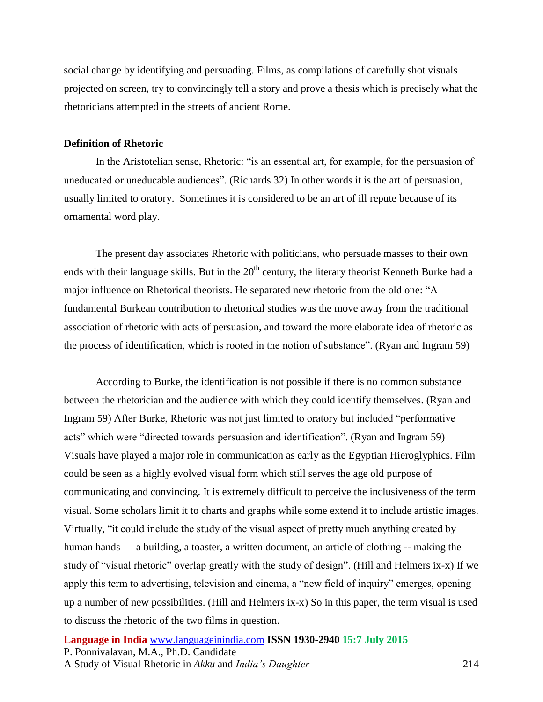social change by identifying and persuading. Films, as compilations of carefully shot visuals projected on screen, try to convincingly tell a story and prove a thesis which is precisely what the rhetoricians attempted in the streets of ancient Rome.

## **Definition of Rhetoric**

In the Aristotelian sense, Rhetoric: "is an essential art, for example, for the persuasion of uneducated or uneducable audiences". (Richards 32) In other words it is the art of persuasion, usually limited to oratory. Sometimes it is considered to be an art of ill repute because of its ornamental word play.

The present day associates Rhetoric with politicians, who persuade masses to their own ends with their language skills. But in the 20<sup>th</sup> century, the literary theorist Kenneth Burke had a major influence on Rhetorical theorists. He separated new rhetoric from the old one: "A fundamental Burkean contribution to rhetorical studies was the move away from the traditional association of rhetoric with acts of persuasion, and toward the more elaborate idea of rhetoric as the process of identification, which is rooted in the notion of substance". (Ryan and Ingram 59)

According to Burke, the identification is not possible if there is no common substance between the rhetorician and the audience with which they could identify themselves. (Ryan and Ingram 59) After Burke, Rhetoric was not just limited to oratory but included "performative acts" which were "directed towards persuasion and identification". (Ryan and Ingram 59) Visuals have played a major role in communication as early as the Egyptian Hieroglyphics. Film could be seen as a highly evolved visual form which still serves the age old purpose of communicating and convincing. It is extremely difficult to perceive the inclusiveness of the term visual. Some scholars limit it to charts and graphs while some extend it to include artistic images. Virtually, "it could include the study of the visual aspect of pretty much anything created by human hands — a building, a toaster, a written document, an article of clothing -- making the study of "visual rhetoric" overlap greatly with the study of design". (Hill and Helmers ix-x) If we apply this term to advertising, television and cinema, a "new field of inquiry" emerges, opening up a number of new possibilities. (Hill and Helmers ix-x) So in this paper, the term visual is used to discuss the rhetoric of the two films in question.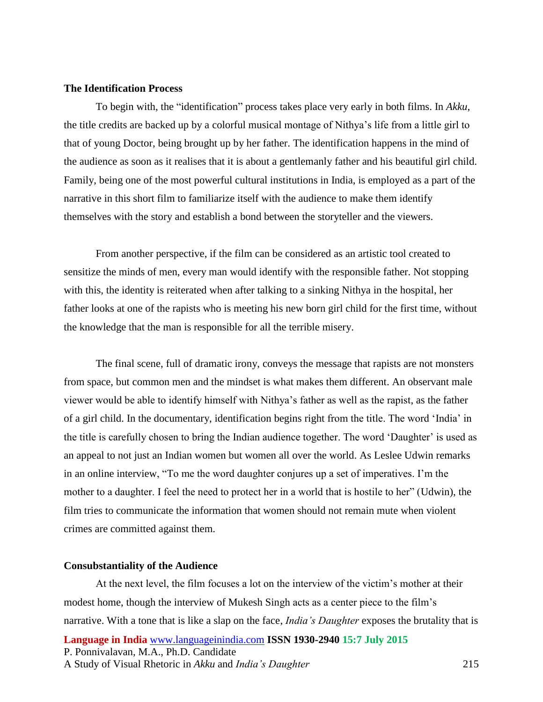# **The Identification Process**

To begin with, the "identification" process takes place very early in both films. In *Akku*, the title credits are backed up by a colorful musical montage of Nithya's life from a little girl to that of young Doctor, being brought up by her father. The identification happens in the mind of the audience as soon as it realises that it is about a gentlemanly father and his beautiful girl child. Family, being one of the most powerful cultural institutions in India, is employed as a part of the narrative in this short film to familiarize itself with the audience to make them identify themselves with the story and establish a bond between the storyteller and the viewers.

From another perspective, if the film can be considered as an artistic tool created to sensitize the minds of men, every man would identify with the responsible father. Not stopping with this, the identity is reiterated when after talking to a sinking Nithya in the hospital, her father looks at one of the rapists who is meeting his new born girl child for the first time, without the knowledge that the man is responsible for all the terrible misery.

The final scene, full of dramatic irony, conveys the message that rapists are not monsters from space, but common men and the mindset is what makes them different. An observant male viewer would be able to identify himself with Nithya's father as well as the rapist, as the father of a girl child. In the documentary, identification begins right from the title. The word 'India' in the title is carefully chosen to bring the Indian audience together. The word 'Daughter' is used as an appeal to not just an Indian women but women all over the world. As Leslee Udwin remarks in an online interview, "To me the word daughter conjures up a set of imperatives. I'm the mother to a daughter. I feel the need to protect her in a world that is hostile to her" (Udwin), the film tries to communicate the information that women should not remain mute when violent crimes are committed against them.

## **Consubstantiality of the Audience**

**Language in India** [www.languageinindia.com](http://www.languageinindia.com/) **ISSN 1930-2940 15:7 July 2015** P. Ponnivalavan, M.A., Ph.D. Candidate A Study of Visual Rhetoric in *Akku* and *India's Daughter* 215 At the next level, the film focuses a lot on the interview of the victim's mother at their modest home, though the interview of Mukesh Singh acts as a center piece to the film's narrative. With a tone that is like a slap on the face, *India's Daughter* exposes the brutality that is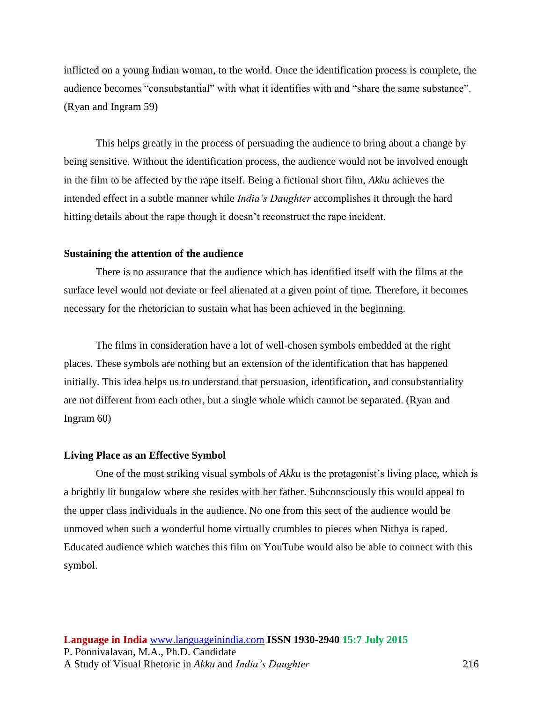inflicted on a young Indian woman, to the world. Once the identification process is complete, the audience becomes "consubstantial" with what it identifies with and "share the same substance". (Ryan and Ingram 59)

This helps greatly in the process of persuading the audience to bring about a change by being sensitive. Without the identification process, the audience would not be involved enough in the film to be affected by the rape itself. Being a fictional short film, *Akku* achieves the intended effect in a subtle manner while *India's Daughter* accomplishes it through the hard hitting details about the rape though it doesn't reconstruct the rape incident.

# **Sustaining the attention of the audience**

There is no assurance that the audience which has identified itself with the films at the surface level would not deviate or feel alienated at a given point of time. Therefore, it becomes necessary for the rhetorician to sustain what has been achieved in the beginning.

The films in consideration have a lot of well-chosen symbols embedded at the right places. These symbols are nothing but an extension of the identification that has happened initially. This idea helps us to understand that persuasion, identification, and consubstantiality are not different from each other, but a single whole which cannot be separated. (Ryan and Ingram 60)

## **Living Place as an Effective Symbol**

One of the most striking visual symbols of *Akku* is the protagonist's living place, which is a brightly lit bungalow where she resides with her father. Subconsciously this would appeal to the upper class individuals in the audience. No one from this sect of the audience would be unmoved when such a wonderful home virtually crumbles to pieces when Nithya is raped. Educated audience which watches this film on YouTube would also be able to connect with this symbol.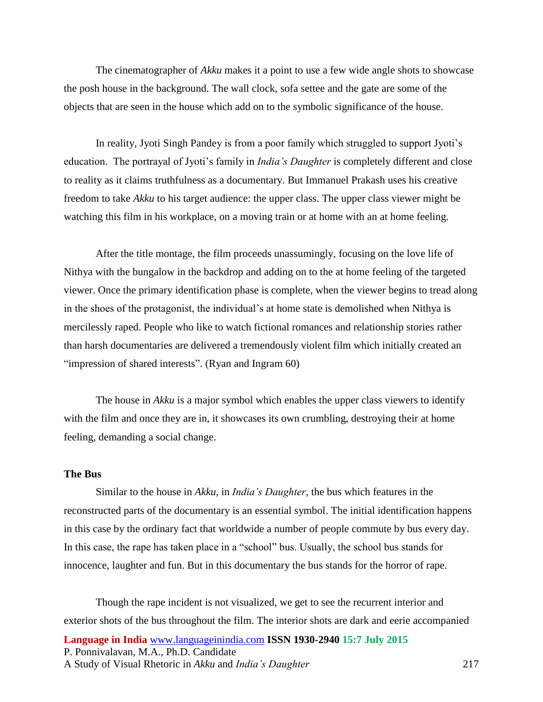The cinematographer of *Akku* makes it a point to use a few wide angle shots to showcase the posh house in the background. The wall clock, sofa settee and the gate are some of the objects that are seen in the house which add on to the symbolic significance of the house.

In reality, Jyoti Singh Pandey is from a poor family which struggled to support Jyoti's education. The portrayal of Jyoti's family in *India's Daughter* is completely different and close to reality as it claims truthfulness as a documentary. But Immanuel Prakash uses his creative freedom to take *Akku* to his target audience: the upper class. The upper class viewer might be watching this film in his workplace, on a moving train or at home with an at home feeling.

After the title montage, the film proceeds unassumingly, focusing on the love life of Nithya with the bungalow in the backdrop and adding on to the at home feeling of the targeted viewer. Once the primary identification phase is complete, when the viewer begins to tread along in the shoes of the protagonist, the individual's at home state is demolished when Nithya is mercilessly raped. People who like to watch fictional romances and relationship stories rather than harsh documentaries are delivered a tremendously violent film which initially created an "impression of shared interests". (Ryan and Ingram 60)

The house in *Akku* is a major symbol which enables the upper class viewers to identify with the film and once they are in, it showcases its own crumbling, destroying their at home feeling, demanding a social change.

# **The Bus**

Similar to the house in *Akku*, in *India's Daughter,* the bus which features in the reconstructed parts of the documentary is an essential symbol. The initial identification happens in this case by the ordinary fact that worldwide a number of people commute by bus every day. In this case, the rape has taken place in a "school" bus. Usually, the school bus stands for innocence, laughter and fun. But in this documentary the bus stands for the horror of rape.

**Language in India** [www.languageinindia.com](http://www.languageinindia.com/) **ISSN 1930-2940 15:7 July 2015** P. Ponnivalavan, M.A., Ph.D. Candidate A Study of Visual Rhetoric in *Akku* and *India's Daughter* 217 Though the rape incident is not visualized, we get to see the recurrent interior and exterior shots of the bus throughout the film. The interior shots are dark and eerie accompanied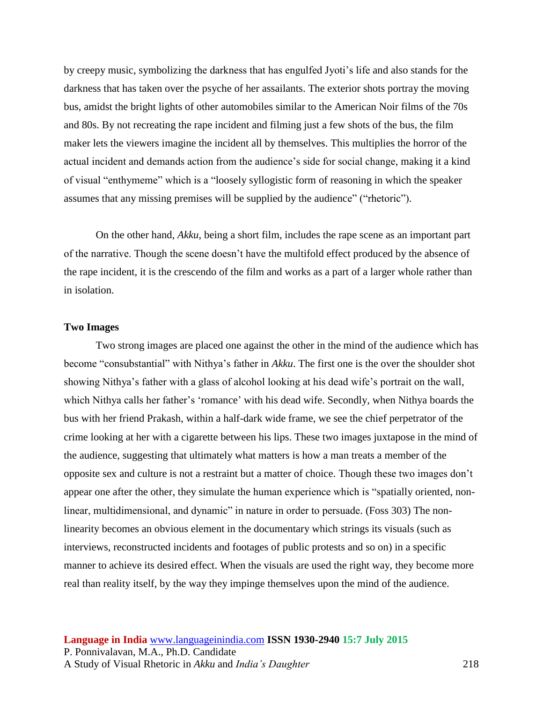by creepy music, symbolizing the darkness that has engulfed Jyoti's life and also stands for the darkness that has taken over the psyche of her assailants. The exterior shots portray the moving bus, amidst the bright lights of other automobiles similar to the American Noir films of the 70s and 80s. By not recreating the rape incident and filming just a few shots of the bus, the film maker lets the viewers imagine the incident all by themselves. This multiplies the horror of the actual incident and demands action from the audience's side for social change, making it a kind of visual "enthymeme" which is a "loosely syllogistic form of reasoning in which the speaker assumes that any missing premises will be supplied by the audience" ("rhetoric").

On the other hand, *Akku*, being a short film, includes the rape scene as an important part of the narrative. Though the scene doesn't have the multifold effect produced by the absence of the rape incident, it is the crescendo of the film and works as a part of a larger whole rather than in isolation.

## **Two Images**

Two strong images are placed one against the other in the mind of the audience which has become "consubstantial" with Nithya's father in *Akku*. The first one is the over the shoulder shot showing Nithya's father with a glass of alcohol looking at his dead wife's portrait on the wall, which Nithya calls her father's 'romance' with his dead wife. Secondly, when Nithya boards the bus with her friend Prakash, within a half-dark wide frame, we see the chief perpetrator of the crime looking at her with a cigarette between his lips. These two images juxtapose in the mind of the audience, suggesting that ultimately what matters is how a man treats a member of the opposite sex and culture is not a restraint but a matter of choice. Though these two images don't appear one after the other, they simulate the human experience which is "spatially oriented, nonlinear, multidimensional, and dynamic" in nature in order to persuade. (Foss 303) The nonlinearity becomes an obvious element in the documentary which strings its visuals (such as interviews, reconstructed incidents and footages of public protests and so on) in a specific manner to achieve its desired effect. When the visuals are used the right way, they become more real than reality itself, by the way they impinge themselves upon the mind of the audience.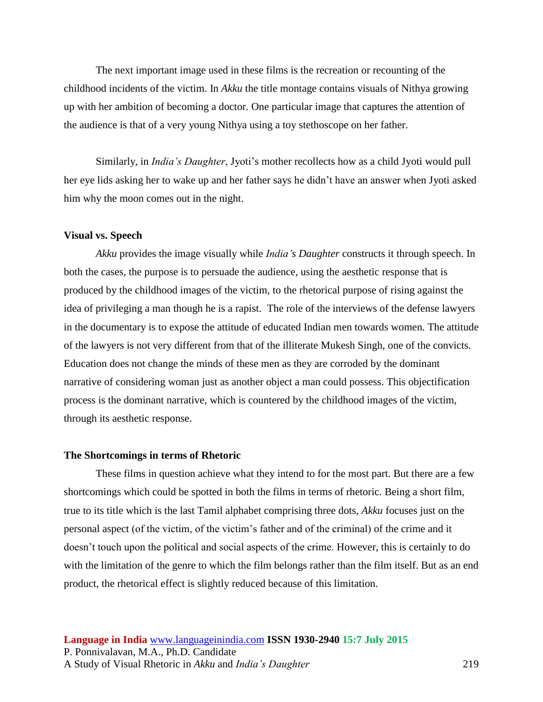The next important image used in these films is the recreation or recounting of the childhood incidents of the victim. In *Akku* the title montage contains visuals of Nithya growing up with her ambition of becoming a doctor. One particular image that captures the attention of the audience is that of a very young Nithya using a toy stethoscope on her father.

Similarly, in *India's Daughter*, Jyoti's mother recollects how as a child Jyoti would pull her eye lids asking her to wake up and her father says he didn't have an answer when Jyoti asked him why the moon comes out in the night.

# **Visual vs. Speech**

*Akku* provides the image visually while *India's Daughter* constructs it through speech. In both the cases, the purpose is to persuade the audience, using the aesthetic response that is produced by the childhood images of the victim, to the rhetorical purpose of rising against the idea of privileging a man though he is a rapist. The role of the interviews of the defense lawyers in the documentary is to expose the attitude of educated Indian men towards women. The attitude of the lawyers is not very different from that of the illiterate Mukesh Singh, one of the convicts. Education does not change the minds of these men as they are corroded by the dominant narrative of considering woman just as another object a man could possess. This objectification process is the dominant narrative, which is countered by the childhood images of the victim, through its aesthetic response.

## **The Shortcomings in terms of Rhetoric**

These films in question achieve what they intend to for the most part. But there are a few shortcomings which could be spotted in both the films in terms of rhetoric. Being a short film, true to its title which is the last Tamil alphabet comprising three dots, *Akku* focuses just on the personal aspect (of the victim, of the victim's father and of the criminal) of the crime and it doesn't touch upon the political and social aspects of the crime. However, this is certainly to do with the limitation of the genre to which the film belongs rather than the film itself. But as an end product, the rhetorical effect is slightly reduced because of this limitation.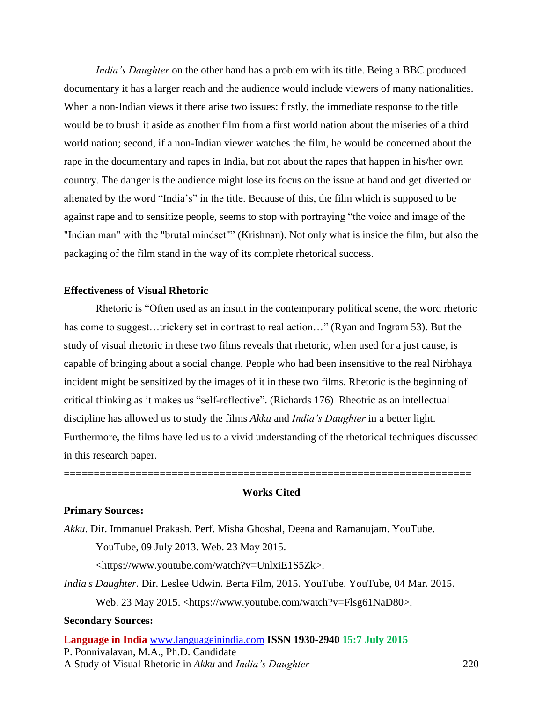*India's Daughter* on the other hand has a problem with its title. Being a BBC produced documentary it has a larger reach and the audience would include viewers of many nationalities. When a non-Indian views it there arise two issues: firstly, the immediate response to the title would be to brush it aside as another film from a first world nation about the miseries of a third world nation; second, if a non-Indian viewer watches the film, he would be concerned about the rape in the documentary and rapes in India, but not about the rapes that happen in his/her own country. The danger is the audience might lose its focus on the issue at hand and get diverted or alienated by the word "India's" in the title. Because of this, the film which is supposed to be against rape and to sensitize people, seems to stop with portraying "the voice and image of the "Indian man" with the "brutal mindset"" (Krishnan). Not only what is inside the film, but also the packaging of the film stand in the way of its complete rhetorical success.

# **Effectiveness of Visual Rhetoric**

Rhetoric is "Often used as an insult in the contemporary political scene, the word rhetoric has come to suggest...trickery set in contrast to real action..." (Ryan and Ingram 53). But the study of visual rhetoric in these two films reveals that rhetoric, when used for a just cause, is capable of bringing about a social change. People who had been insensitive to the real Nirbhaya incident might be sensitized by the images of it in these two films. Rhetoric is the beginning of critical thinking as it makes us "self-reflective". (Richards 176) Rheotric as an intellectual discipline has allowed us to study the films *Akku* and *India's Daughter* in a better light. Furthermore, the films have led us to a vivid understanding of the rhetorical techniques discussed in this research paper.

# **Works Cited**

====================================================================

#### **Primary Sources:**

*Akku*. Dir. Immanuel Prakash. Perf. Misha Ghoshal, Deena and Ramanujam. YouTube.

YouTube, 09 July 2013. Web. 23 May 2015.

<https://www.youtube.com/watch?v=UnlxiE1S5Zk>.

*India's Daughter*. Dir. Leslee Udwin. Berta Film, 2015. YouTube. YouTube, 04 Mar. 2015.

Web. 23 May 2015. <https://www.youtube.com/watch?v=Flsg61NaD80>.

## **Secondary Sources:**